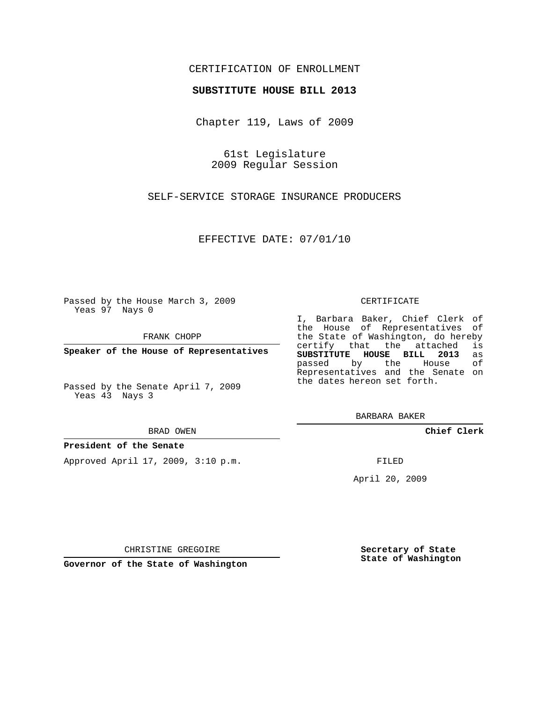## CERTIFICATION OF ENROLLMENT

## **SUBSTITUTE HOUSE BILL 2013**

Chapter 119, Laws of 2009

61st Legislature 2009 Regular Session

SELF-SERVICE STORAGE INSURANCE PRODUCERS

EFFECTIVE DATE: 07/01/10

Passed by the House March 3, 2009 Yeas 97 Nays 0

FRANK CHOPP

**Speaker of the House of Representatives**

Passed by the Senate April 7, 2009 Yeas 43 Nays 3

BRAD OWEN

## **President of the Senate**

Approved April 17, 2009, 3:10 p.m.

CERTIFICATE

I, Barbara Baker, Chief Clerk of the House of Representatives of the State of Washington, do hereby<br>certify that the attached is certify that the attached **SUBSTITUTE HOUSE BILL 2013** as passed by the Representatives and the Senate on the dates hereon set forth.

BARBARA BAKER

**Chief Clerk**

FILED

April 20, 2009

**Secretary of State State of Washington**

CHRISTINE GREGOIRE

**Governor of the State of Washington**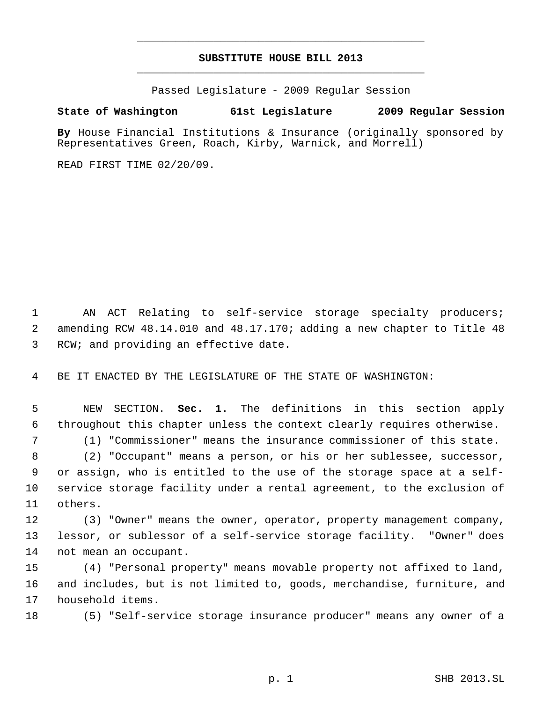# **SUBSTITUTE HOUSE BILL 2013** \_\_\_\_\_\_\_\_\_\_\_\_\_\_\_\_\_\_\_\_\_\_\_\_\_\_\_\_\_\_\_\_\_\_\_\_\_\_\_\_\_\_\_\_\_

\_\_\_\_\_\_\_\_\_\_\_\_\_\_\_\_\_\_\_\_\_\_\_\_\_\_\_\_\_\_\_\_\_\_\_\_\_\_\_\_\_\_\_\_\_

Passed Legislature - 2009 Regular Session

# **State of Washington 61st Legislature 2009 Regular Session**

**By** House Financial Institutions & Insurance (originally sponsored by Representatives Green, Roach, Kirby, Warnick, and Morrell)

READ FIRST TIME 02/20/09.

 AN ACT Relating to self-service storage specialty producers; amending RCW 48.14.010 and 48.17.170; adding a new chapter to Title 48 RCW; and providing an effective date.

BE IT ENACTED BY THE LEGISLATURE OF THE STATE OF WASHINGTON:

 NEW SECTION. **Sec. 1.** The definitions in this section apply throughout this chapter unless the context clearly requires otherwise.

(1) "Commissioner" means the insurance commissioner of this state.

 (2) "Occupant" means a person, or his or her sublessee, successor, or assign, who is entitled to the use of the storage space at a self- service storage facility under a rental agreement, to the exclusion of others.

 (3) "Owner" means the owner, operator, property management company, lessor, or sublessor of a self-service storage facility. "Owner" does not mean an occupant.

 (4) "Personal property" means movable property not affixed to land, and includes, but is not limited to, goods, merchandise, furniture, and household items.

(5) "Self-service storage insurance producer" means any owner of a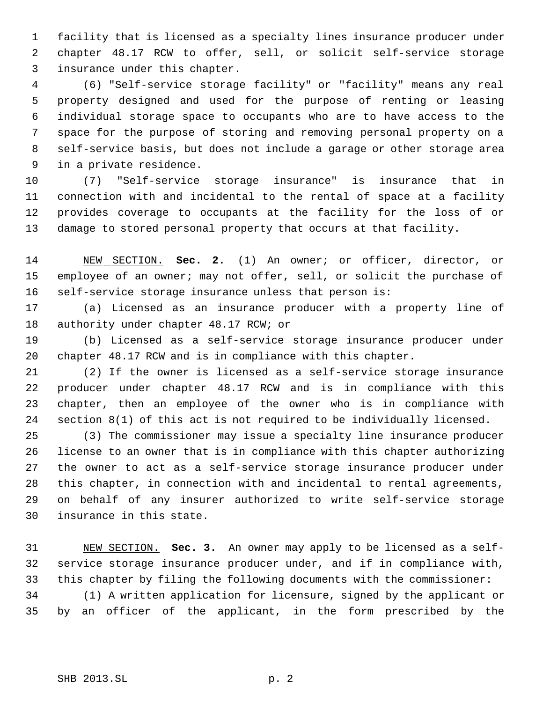facility that is licensed as a specialty lines insurance producer under chapter 48.17 RCW to offer, sell, or solicit self-service storage insurance under this chapter.

 (6) "Self-service storage facility" or "facility" means any real property designed and used for the purpose of renting or leasing individual storage space to occupants who are to have access to the space for the purpose of storing and removing personal property on a self-service basis, but does not include a garage or other storage area in a private residence.

 (7) "Self-service storage insurance" is insurance that in connection with and incidental to the rental of space at a facility provides coverage to occupants at the facility for the loss of or damage to stored personal property that occurs at that facility.

 NEW SECTION. **Sec. 2.** (1) An owner; or officer, director, or employee of an owner; may not offer, sell, or solicit the purchase of self-service storage insurance unless that person is:

 (a) Licensed as an insurance producer with a property line of 18 authority under chapter 48.17 RCW; or

 (b) Licensed as a self-service storage insurance producer under chapter 48.17 RCW and is in compliance with this chapter.

 (2) If the owner is licensed as a self-service storage insurance producer under chapter 48.17 RCW and is in compliance with this chapter, then an employee of the owner who is in compliance with section 8(1) of this act is not required to be individually licensed.

 (3) The commissioner may issue a specialty line insurance producer license to an owner that is in compliance with this chapter authorizing the owner to act as a self-service storage insurance producer under this chapter, in connection with and incidental to rental agreements, on behalf of any insurer authorized to write self-service storage insurance in this state.

 NEW SECTION. **Sec. 3.** An owner may apply to be licensed as a self- service storage insurance producer under, and if in compliance with, this chapter by filing the following documents with the commissioner: (1) A written application for licensure, signed by the applicant or by an officer of the applicant, in the form prescribed by the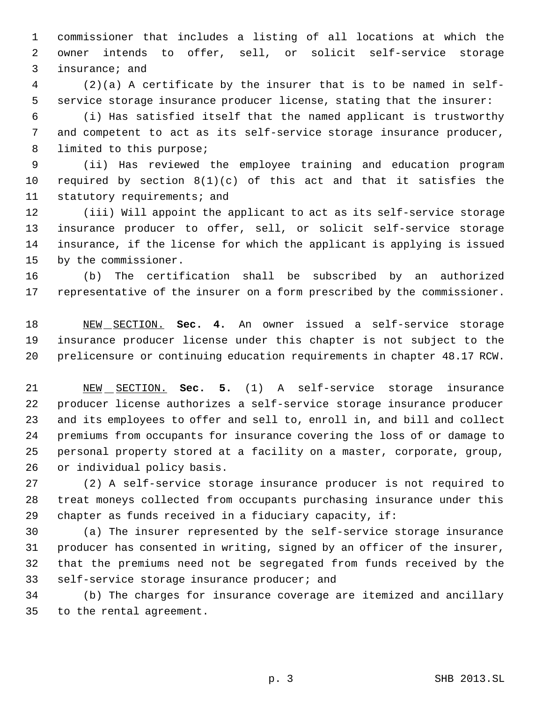commissioner that includes a listing of all locations at which the owner intends to offer, sell, or solicit self-service storage insurance; and

 (2)(a) A certificate by the insurer that is to be named in self- service storage insurance producer license, stating that the insurer:

 (i) Has satisfied itself that the named applicant is trustworthy and competent to act as its self-service storage insurance producer, 8 limited to this purpose;

 (ii) Has reviewed the employee training and education program required by section 8(1)(c) of this act and that it satisfies the 11 statutory requirements; and

 (iii) Will appoint the applicant to act as its self-service storage insurance producer to offer, sell, or solicit self-service storage insurance, if the license for which the applicant is applying is issued by the commissioner.

 (b) The certification shall be subscribed by an authorized representative of the insurer on a form prescribed by the commissioner.

 NEW SECTION. **Sec. 4.** An owner issued a self-service storage insurance producer license under this chapter is not subject to the prelicensure or continuing education requirements in chapter 48.17 RCW.

 NEW SECTION. **Sec. 5.** (1) A self-service storage insurance producer license authorizes a self-service storage insurance producer and its employees to offer and sell to, enroll in, and bill and collect premiums from occupants for insurance covering the loss of or damage to personal property stored at a facility on a master, corporate, group, or individual policy basis.

 (2) A self-service storage insurance producer is not required to treat moneys collected from occupants purchasing insurance under this chapter as funds received in a fiduciary capacity, if:

 (a) The insurer represented by the self-service storage insurance producer has consented in writing, signed by an officer of the insurer, that the premiums need not be segregated from funds received by the self-service storage insurance producer; and

 (b) The charges for insurance coverage are itemized and ancillary to the rental agreement.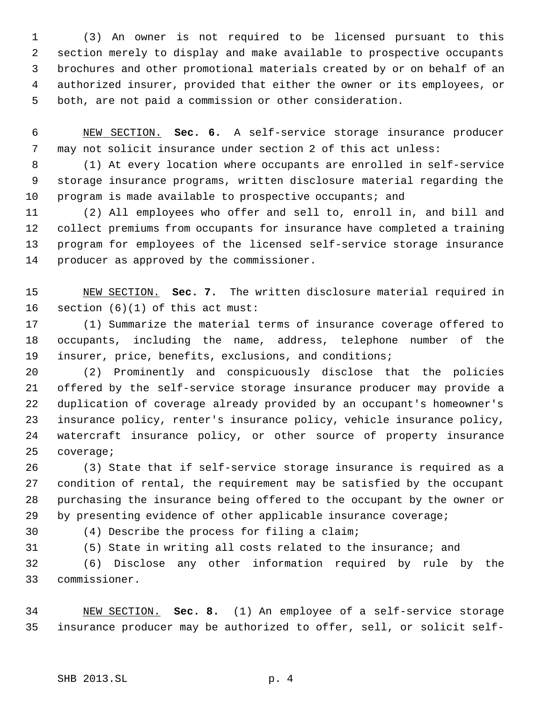(3) An owner is not required to be licensed pursuant to this section merely to display and make available to prospective occupants brochures and other promotional materials created by or on behalf of an authorized insurer, provided that either the owner or its employees, or both, are not paid a commission or other consideration.

 NEW SECTION. **Sec. 6.** A self-service storage insurance producer may not solicit insurance under section 2 of this act unless:

 (1) At every location where occupants are enrolled in self-service storage insurance programs, written disclosure material regarding the program is made available to prospective occupants; and

 (2) All employees who offer and sell to, enroll in, and bill and collect premiums from occupants for insurance have completed a training program for employees of the licensed self-service storage insurance producer as approved by the commissioner.

 NEW SECTION. **Sec. 7.** The written disclosure material required in section (6)(1) of this act must:

 (1) Summarize the material terms of insurance coverage offered to occupants, including the name, address, telephone number of the insurer, price, benefits, exclusions, and conditions;

 (2) Prominently and conspicuously disclose that the policies offered by the self-service storage insurance producer may provide a duplication of coverage already provided by an occupant's homeowner's insurance policy, renter's insurance policy, vehicle insurance policy, watercraft insurance policy, or other source of property insurance coverage;

 (3) State that if self-service storage insurance is required as a condition of rental, the requirement may be satisfied by the occupant purchasing the insurance being offered to the occupant by the owner or by presenting evidence of other applicable insurance coverage;

(4) Describe the process for filing a claim;

(5) State in writing all costs related to the insurance; and

 (6) Disclose any other information required by rule by the commissioner.

 NEW SECTION. **Sec. 8.** (1) An employee of a self-service storage insurance producer may be authorized to offer, sell, or solicit self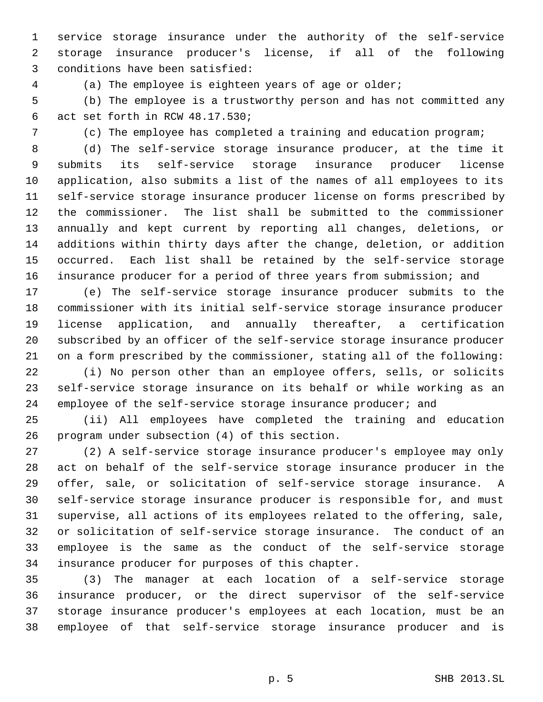service storage insurance under the authority of the self-service storage insurance producer's license, if all of the following conditions have been satisfied:

(a) The employee is eighteen years of age or older;

 (b) The employee is a trustworthy person and has not committed any act set forth in RCW 48.17.530;

(c) The employee has completed a training and education program;

 (d) The self-service storage insurance producer, at the time it submits its self-service storage insurance producer license application, also submits a list of the names of all employees to its self-service storage insurance producer license on forms prescribed by the commissioner. The list shall be submitted to the commissioner annually and kept current by reporting all changes, deletions, or additions within thirty days after the change, deletion, or addition occurred. Each list shall be retained by the self-service storage insurance producer for a period of three years from submission; and

 (e) The self-service storage insurance producer submits to the commissioner with its initial self-service storage insurance producer license application, and annually thereafter, a certification subscribed by an officer of the self-service storage insurance producer on a form prescribed by the commissioner, stating all of the following:

 (i) No person other than an employee offers, sells, or solicits self-service storage insurance on its behalf or while working as an 24 employee of the self-service storage insurance producer; and

 (ii) All employees have completed the training and education program under subsection (4) of this section.

 (2) A self-service storage insurance producer's employee may only act on behalf of the self-service storage insurance producer in the offer, sale, or solicitation of self-service storage insurance. A self-service storage insurance producer is responsible for, and must supervise, all actions of its employees related to the offering, sale, or solicitation of self-service storage insurance. The conduct of an employee is the same as the conduct of the self-service storage insurance producer for purposes of this chapter.

 (3) The manager at each location of a self-service storage insurance producer, or the direct supervisor of the self-service storage insurance producer's employees at each location, must be an employee of that self-service storage insurance producer and is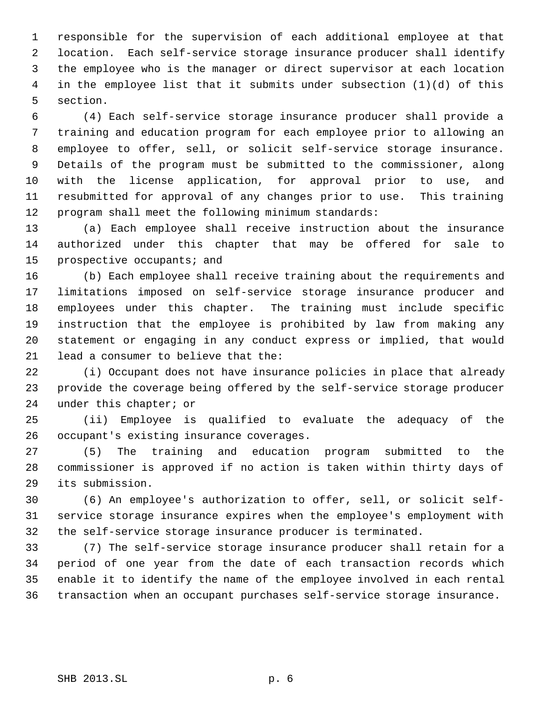responsible for the supervision of each additional employee at that location. Each self-service storage insurance producer shall identify the employee who is the manager or direct supervisor at each location in the employee list that it submits under subsection (1)(d) of this section.

 (4) Each self-service storage insurance producer shall provide a training and education program for each employee prior to allowing an employee to offer, sell, or solicit self-service storage insurance. Details of the program must be submitted to the commissioner, along with the license application, for approval prior to use, and resubmitted for approval of any changes prior to use. This training program shall meet the following minimum standards:

 (a) Each employee shall receive instruction about the insurance authorized under this chapter that may be offered for sale to prospective occupants; and

 (b) Each employee shall receive training about the requirements and limitations imposed on self-service storage insurance producer and employees under this chapter. The training must include specific instruction that the employee is prohibited by law from making any statement or engaging in any conduct express or implied, that would lead a consumer to believe that the:

 (i) Occupant does not have insurance policies in place that already provide the coverage being offered by the self-service storage producer under this chapter; or

 (ii) Employee is qualified to evaluate the adequacy of the occupant's existing insurance coverages.

 (5) The training and education program submitted to the commissioner is approved if no action is taken within thirty days of its submission.

 (6) An employee's authorization to offer, sell, or solicit self- service storage insurance expires when the employee's employment with the self-service storage insurance producer is terminated.

 (7) The self-service storage insurance producer shall retain for a period of one year from the date of each transaction records which enable it to identify the name of the employee involved in each rental transaction when an occupant purchases self-service storage insurance.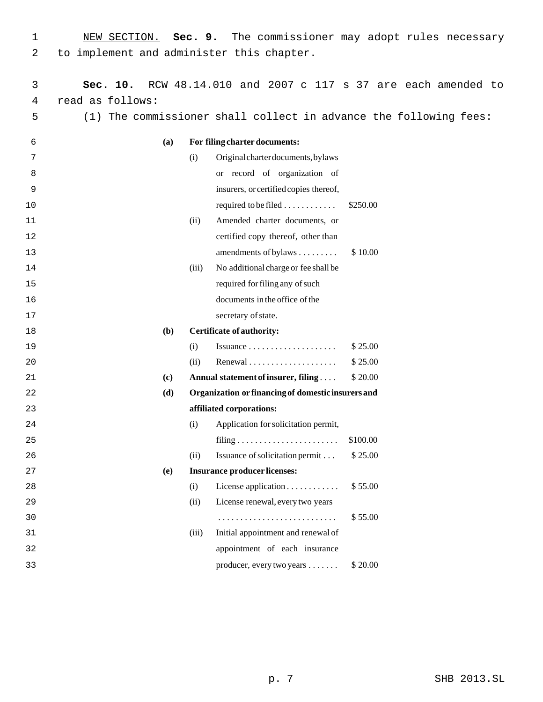| NEW SECTION. Sec. 9. The commissioner may adopt rules necessary |  |  |  |  |
|-----------------------------------------------------------------|--|--|--|--|
| 2 to implement and administer this chapter.                     |  |  |  |  |

| 3    | Sec. 10.         |     |       |                                                     | RCW 48.14.010 and 2007 c 117 s 37 are each amended to         |
|------|------------------|-----|-------|-----------------------------------------------------|---------------------------------------------------------------|
| 4    | read as follows: |     |       |                                                     |                                                               |
| 5    | (1)              |     |       |                                                     | The commissioner shall collect in advance the following fees: |
| 6    |                  | (a) |       | For filing charter documents:                       |                                                               |
| 7    |                  |     | (i)   | Original charter documents, bylaws                  |                                                               |
| 8    |                  |     |       | or record of organization of                        |                                                               |
| 9    |                  |     |       | insurers, or certified copies thereof,              |                                                               |
| 10   |                  |     |       | required to be filed $\dots\dots\dots\dots$         | \$250.00                                                      |
| 11   |                  |     | (ii)  | Amended charter documents, or                       |                                                               |
| 12   |                  |     |       | certified copy thereof, other than                  |                                                               |
| 13   |                  |     |       | amendments of bylaws                                | \$10.00                                                       |
| 14   |                  |     | (iii) | No additional charge or fee shall be                |                                                               |
| 15   |                  |     |       | required for filing any of such                     |                                                               |
| 16   |                  |     |       | documents in the office of the                      |                                                               |
| $17$ |                  |     |       | secretary of state.                                 |                                                               |
| 18   |                  | (b) |       | <b>Certificate of authority:</b>                    |                                                               |
| 19   |                  |     | (i)   | Issuance $\dots\dots\dots\dots\dots\dots\dots\dots$ | \$25.00                                                       |
| 20   |                  |     | (ii)  |                                                     | \$25.00                                                       |
| 21   |                  | (c) |       | Annual statement of insurer, filing                 | \$ 20.00                                                      |
| 22   |                  | (d) |       | Organization or financing of domestic insurers and  |                                                               |
| 23   |                  |     |       | affiliated corporations:                            |                                                               |
| 24   |                  |     | (i)   | Application for solicitation permit,                |                                                               |
| 25   |                  |     |       |                                                     | \$100.00                                                      |
| 26   |                  |     | (ii)  | Issuance of solicitation permit                     | \$25.00                                                       |
| 27   |                  | (e) |       | <b>Insurance producer licenses:</b>                 |                                                               |
| 28   |                  |     | (i)   | License application                                 | \$55.00                                                       |
| 29   |                  |     | (ii)  | License renewal, every two years                    |                                                               |
| 30   |                  |     |       |                                                     | \$55.00                                                       |
| 31   |                  |     | (iii) | Initial appointment and renewal of                  |                                                               |
| 32   |                  |     |       | appointment of each insurance                       |                                                               |
| 33   |                  |     |       | producer, every two years                           | \$20.00                                                       |
|      |                  |     |       |                                                     |                                                               |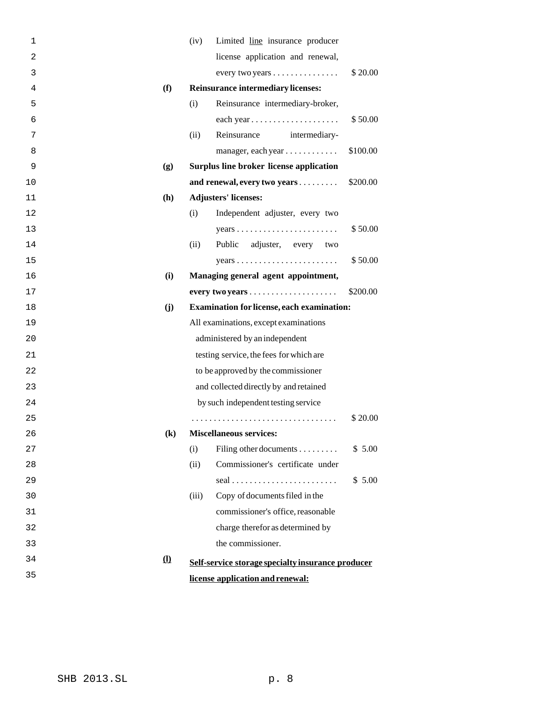| 1  |                            | (iv)<br>Limited line insurance producer                            |
|----|----------------------------|--------------------------------------------------------------------|
| 2  |                            | license application and renewal,                                   |
| 3  |                            | \$20.00<br>every two years $\dots \dots \dots \dots$               |
| 4  | (f)                        | <b>Reinsurance intermediary licenses:</b>                          |
| 5  | (i)                        | Reinsurance intermediary-broker,                                   |
| 6  |                            | each year<br>\$50.00                                               |
| 7  |                            | (ii)<br>Reinsurance<br>intermediary-                               |
| 8  |                            | \$100.00<br>manager, each year                                     |
| 9  | (g)                        | <b>Surplus line broker license application</b>                     |
| 10 |                            | and renewal, every two years<br>\$200.00                           |
| 11 | (h)                        | <b>Adjusters' licenses:</b>                                        |
| 12 | (i)                        | Independent adjuster, every two                                    |
| 13 |                            | \$50.00<br>$years \dots \dots \dots \dots \dots \dots \dots \dots$ |
| 14 |                            | adjuster, every two<br>(ii)<br>Public                              |
| 15 |                            | \$50.00<br>$years \dots \dots \dots \dots \dots \dots \dots \dots$ |
| 16 | (i)                        | Managing general agent appointment,                                |
| 17 |                            | \$200.00                                                           |
| 18 | (j)                        | <b>Examination for license, each examination:</b>                  |
| 19 |                            | All examinations, except examinations                              |
| 20 |                            | administered by an independent                                     |
| 21 |                            | testing service, the fees for which are                            |
| 22 |                            | to be approved by the commissioner                                 |
| 23 |                            | and collected directly by and retained                             |
| 24 |                            | by such independent testing service                                |
| 25 |                            | \$20.00                                                            |
| 26 | $\left( \mathbf{k}\right)$ | <b>Miscellaneous services:</b>                                     |
| 27 | (i)                        | \$5.00<br>Filing other documents                                   |
| 28 |                            | Commissioner's certificate under<br>(ii)                           |
| 29 |                            | \$5.00                                                             |
| 30 |                            | Copy of documents filed in the<br>(iii)                            |
| 31 |                            | commissioner's office, reasonable                                  |
| 32 |                            | charge therefor as determined by                                   |
| 33 |                            | the commissioner.                                                  |
| 34 | $\Omega$                   | Self-service storage specialty insurance producer                  |
| 35 |                            | license application and renewal:                                   |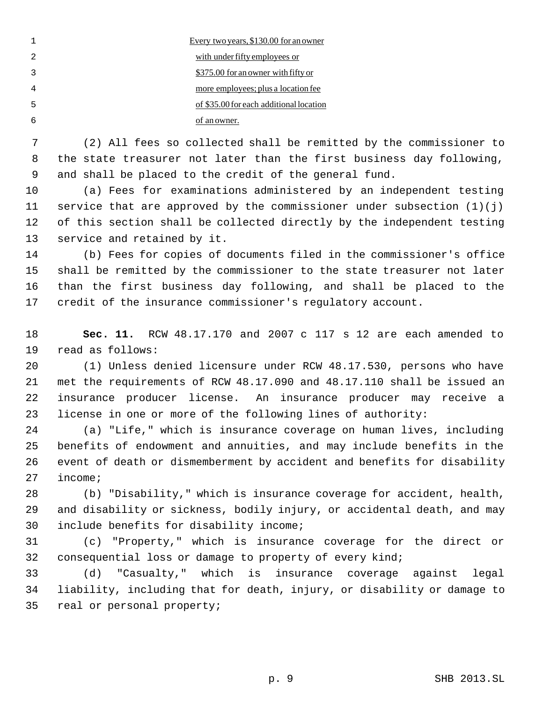|   | Every two years, \$130.00 for an owner  |
|---|-----------------------------------------|
|   | with under fifty employees or           |
|   | \$375.00 for an owner with fifty or     |
|   | more employees; plus a location fee     |
| 5 | of \$35.00 for each additional location |
|   | of an owner.                            |

 (2) All fees so collected shall be remitted by the commissioner to the state treasurer not later than the first business day following, and shall be placed to the credit of the general fund.

 (a) Fees for examinations administered by an independent testing 11 service that are approved by the commissioner under subsection  $(1)(j)$  of this section shall be collected directly by the independent testing service and retained by it.

 (b) Fees for copies of documents filed in the commissioner's office shall be remitted by the commissioner to the state treasurer not later than the first business day following, and shall be placed to the credit of the insurance commissioner's regulatory account.

 **Sec. 11.** RCW 48.17.170 and 2007 c 117 s 12 are each amended to read as follows:

 (1) Unless denied licensure under RCW 48.17.530, persons who have met the requirements of RCW 48.17.090 and 48.17.110 shall be issued an insurance producer license. An insurance producer may receive a license in one or more of the following lines of authority:

 (a) "Life," which is insurance coverage on human lives, including benefits of endowment and annuities, and may include benefits in the event of death or dismemberment by accident and benefits for disability income;

 (b) "Disability," which is insurance coverage for accident, health, and disability or sickness, bodily injury, or accidental death, and may include benefits for disability income;

 (c) "Property," which is insurance coverage for the direct or consequential loss or damage to property of every kind;

 (d) "Casualty," which is insurance coverage against legal liability, including that for death, injury, or disability or damage to real or personal property;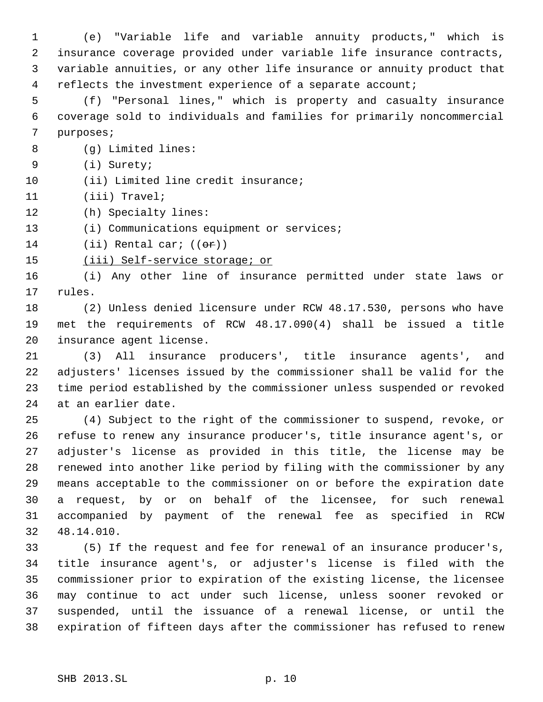(e) "Variable life and variable annuity products," which is insurance coverage provided under variable life insurance contracts, variable annuities, or any other life insurance or annuity product that 4 reflects the investment experience of a separate account;

 (f) "Personal lines," which is property and casualty insurance coverage sold to individuals and families for primarily noncommercial purposes;

(g) Limited lines:

(i) Surety;

10 (ii) Limited line credit insurance;

(iii) Travel;

(h) Specialty lines:

13 (i) Communications equipment or services;

14 (ii) Rental car;  $((er))$ 

15 (iii) Self-service storage; or

 (i) Any other line of insurance permitted under state laws or rules.

 (2) Unless denied licensure under RCW 48.17.530, persons who have met the requirements of RCW 48.17.090(4) shall be issued a title insurance agent license.

 (3) All insurance producers', title insurance agents', and adjusters' licenses issued by the commissioner shall be valid for the time period established by the commissioner unless suspended or revoked at an earlier date.

 (4) Subject to the right of the commissioner to suspend, revoke, or refuse to renew any insurance producer's, title insurance agent's, or adjuster's license as provided in this title, the license may be renewed into another like period by filing with the commissioner by any means acceptable to the commissioner on or before the expiration date a request, by or on behalf of the licensee, for such renewal accompanied by payment of the renewal fee as specified in RCW 48.14.010.

 (5) If the request and fee for renewal of an insurance producer's, title insurance agent's, or adjuster's license is filed with the commissioner prior to expiration of the existing license, the licensee may continue to act under such license, unless sooner revoked or suspended, until the issuance of a renewal license, or until the expiration of fifteen days after the commissioner has refused to renew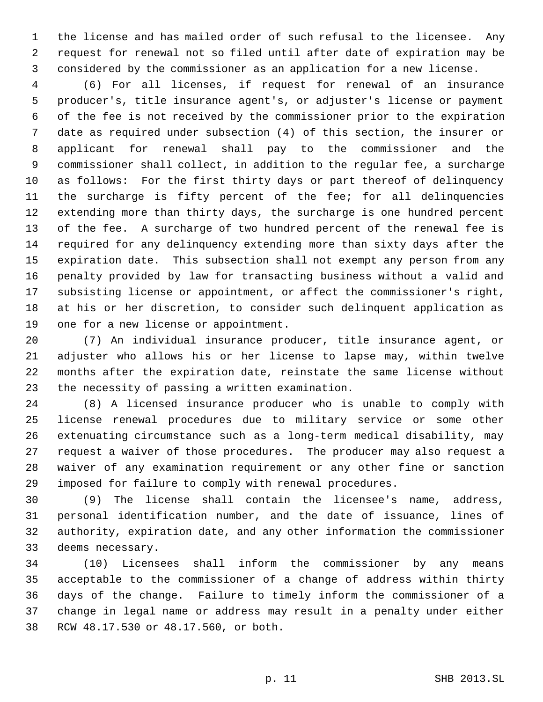the license and has mailed order of such refusal to the licensee. Any request for renewal not so filed until after date of expiration may be considered by the commissioner as an application for a new license.

 (6) For all licenses, if request for renewal of an insurance producer's, title insurance agent's, or adjuster's license or payment of the fee is not received by the commissioner prior to the expiration date as required under subsection (4) of this section, the insurer or applicant for renewal shall pay to the commissioner and the commissioner shall collect, in addition to the regular fee, a surcharge as follows: For the first thirty days or part thereof of delinquency the surcharge is fifty percent of the fee; for all delinquencies extending more than thirty days, the surcharge is one hundred percent of the fee. A surcharge of two hundred percent of the renewal fee is required for any delinquency extending more than sixty days after the expiration date. This subsection shall not exempt any person from any penalty provided by law for transacting business without a valid and subsisting license or appointment, or affect the commissioner's right, at his or her discretion, to consider such delinquent application as one for a new license or appointment.

 (7) An individual insurance producer, title insurance agent, or adjuster who allows his or her license to lapse may, within twelve months after the expiration date, reinstate the same license without the necessity of passing a written examination.

 (8) A licensed insurance producer who is unable to comply with license renewal procedures due to military service or some other extenuating circumstance such as a long-term medical disability, may request a waiver of those procedures. The producer may also request a waiver of any examination requirement or any other fine or sanction imposed for failure to comply with renewal procedures.

 (9) The license shall contain the licensee's name, address, personal identification number, and the date of issuance, lines of authority, expiration date, and any other information the commissioner deems necessary.

 (10) Licensees shall inform the commissioner by any means acceptable to the commissioner of a change of address within thirty days of the change. Failure to timely inform the commissioner of a change in legal name or address may result in a penalty under either RCW 48.17.530 or 48.17.560, or both.